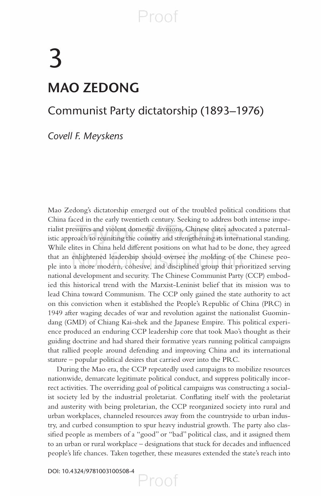# 3  **MAO ZEDONG**

### Communist Party dictatorship (1893–1976)

 *Covell F . Meyskens* 

 Mao Zedong's dictatorship emerged out of the troubled political conditions that China faced in the early twentieth century. Seeking to address both intense imperialist pressures and violent domestic divisions, Chinese elites advocated a paternalistic approach to reuniting the country and strengthening its international standing. While elites in China held different positions on what had to be done, they agreed that an enlightened leadership should oversee the molding of the Chinese people into a more modern, cohesive, and disciplined group that prioritized serving national development and security. The Chinese Communist Party (CCP) embodied this historical trend with the Marxist-Leninist belief that its mission was to lead China toward Communism. The CCP only gained the state authority to act on this conviction when it established the People's Republic of China (PRC) in 1949 after waging decades of war and revolution against the nationalist Guomindang (GMD) of Chiang Kai-shek and the Japanese Empire. This political experience produced an enduring CCP leadership core that took Mao's thought as their guiding doctrine and had shared their formative years running political campaigns that rallied people around defending and improving China and its international stature – popular political desires that carried over into the PRC.

 During the Mao era, the CCP repeatedly used campaigns to mobilize resources nationwide, demarcate legitimate political conduct, and suppress politically incorrect activities. The overriding goal of political campaigns was constructing a socialist society led by the industrial proletariat. Conflating itself with the proletariat and austerity with being proletarian, the CCP reorganized society into rural and urban workplaces, channeled resources away from the countryside to urban industry, and curbed consumption to spur heavy industrial growth. The party also classified people as members of a "good" or "bad" political class, and it assigned them to an urban or rural workplace – designations that stuck for decades and influenced people's life chances. Taken together, these measures extended the state's reach into

Proof

DOI: 10.4324/9781003100508-4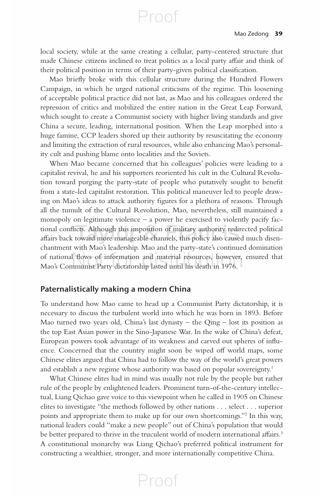local society, while at the same creating a cellular, party-centered structure that made Chinese citizens inclined to treat politics as a local party affair and think of their political position in terms of their party-given political classification.

Proof

Mao briefly broke with this cellular structure during the Hundred Flowers Campaign, in which he urged national criticisms of the regime. This loosening of acceptable political practice did not last, as Mao and his colleagues ordered the repression of critics and mobilized the entire nation in the Great Leap Forward, which sought to create a Communist society with higher living standards and give China a secure, leading, international position. When the Leap morphed into a huge famine, CCP leaders shored up their authority by resuscitating the economy and limiting the extraction of rural resources, while also enhancing Mao's personality cult and pushing blame onto localities and the Soviets.

 When Mao became concerned that his colleagues' policies were leading to a capitalist revival, he and his supporters reoriented his cult in the Cultural Revolution toward purging the party-state of people who putatively sought to benefit from a state-led capitalist restoration. This political maneuver led to people drawing on Mao's ideas to attack authority figures for a plethora of reasons. Through all the tumult of the Cultural Revolution, Mao, nevertheless, still maintained a monopoly on legitimate violence – a power he exercised to violently pacify factional conflicts. Although this imposition of military authority redirected political affairs back toward more manageable channels, this policy also caused much disenchantment with Mao's leadership. Mao and the party-state's continued domination of national flows of information and material resources, however, ensured that Mao's Communist Party dictatorship lasted until his death in 1976.

#### **Paternalistically making a modern China**

 To understand how Mao came to head up a Communist Party dictatorship, it is necessary to discuss the turbulent world into which he was born in 1893. Before Mao turned two years old, China's last dynasty – the Qing – lost its position as the top East Asian power in the Sino-Japanese War. In the wake of China's defeat, European powers took advantage of its weakness and carved out spheres of influence. Concerned that the country might soon be wiped off world maps, some Chinese elites argued that China had to follow the way of the world's great powers and establish a new regime whose authority was based on popular sovereignty.<sup>1</sup>

 What Chinese elites had in mind was usually not rule by the people but rather rule of the people by enlightened leaders. Prominent turn-of-the-century intellectual, Liang Qichao gave voice to this viewpoint when he called in 1905 on Chinese elites to investigate "the methods followed by other nations . . . select . . . superior points and appropriate them to make up for our own shortcomings."<sup>2</sup> In this way, national leaders could "make a new people" out of China's population that would be better prepared to thrive in the truculent world of modern international affairs.<sup>3</sup> A constitutional monarchy was Liang Qichao's preferred political instrument for constructing a wealthier, stronger, and more internationally competitive China.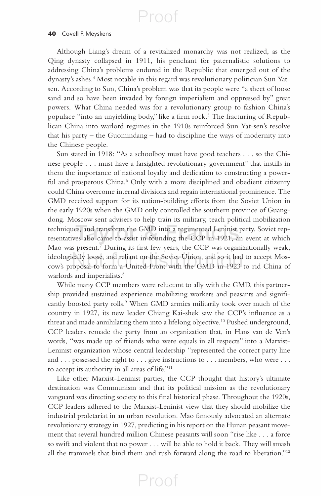#### **40** Covell F. Meyskens

 Although Liang's dream of a revitalized monarchy was not realized, as the Qing dynasty collapsed in 1911, his penchant for paternalistic solutions to addressing China's problems endured in the Republic that emerged out of the dynasty's ashes. 4 Most notable in this regard was revolutionary politician Sun Yatsen. According to Sun, China's problem was that its people were "a sheet of loose sand and so have been invaded by foreign imperialism and oppressed by" great powers. What China needed was for a revolutionary group to fashion China's populace "into an unyielding body," like a firm rock.<sup>5</sup> The fracturing of Republican China into warlord regimes in the 1910s reinforced Sun Yat-sen's resolve that his party – the Guomindang – had to discipline the ways of modernity into the Chinese people.

 Sun stated in 1918: "As a schoolboy must have good teachers . . . so the Chinese people . . . must have a farsighted revolutionary government" that instills in them the importance of national loyalty and dedication to constructing a powerful and prosperous China.<sup>6</sup> Only with a more disciplined and obedient citizenry could China overcome internal divisions and regain international prominence. The GMD received support for its nation-building efforts from the Soviet Union in the early 1920s when the GMD only controlled the southern province of Guangdong. Moscow sent advisers to help train its military, teach political mobilization techniques, and transform the GMD into a regimented Leninist party. Soviet representatives also came to assist in founding the CCP in 1921, an event at which Mao was present.<sup>7</sup> During its first few years, the CCP was organizationally weak, ideologically loose, and reliant on the Soviet Union, and so it had to accept Moscow's proposal to form a United Front with the GMD in 1923 to rid China of warlords and imperialists.<sup>8</sup>

 While many CCP members were reluctant to ally with the GMD, this partnership provided sustained experience mobilizing workers and peasants and significantly boosted party rolls.<sup>9</sup> When GMD armies militarily took over much of the country in 1927, its new leader Chiang Kai-shek saw the CCP's influence as a threat and made annihilating them into a lifelong objective. 10 Pushed underground, CCP leaders remade the party from an organization that, in Hans van de Ven's words, "was made up of friends who were equals in all respects" into a Marxist-Leninist organization whose central leadership "represented the correct party line and . . . possessed the right to . . . give instructions to . . . members, who were . . . to accept its authority in all areas of life."<sup>11</sup>

 Like other Marxist-Leninist parties, the CCP thought that history's ultimate destination was Communism and that its political mission as the revolutionary vanguard was directing society to this final historical phase. Throughout the 1920s, CCP leaders adhered to the Marxist-Leninist view that they should mobilize the industrial proletariat in an urban revolution. Mao famously advocated an alternate revolutionary strategy in 1927, predicting in his report on the Hunan peasant movement that several hundred million Chinese peasants will soon "rise like . . . a force so swift and violent that no power . . . will be able to hold it back. They will smash all the trammels that bind them and rush forward along the road to liberation."<sup>12</sup>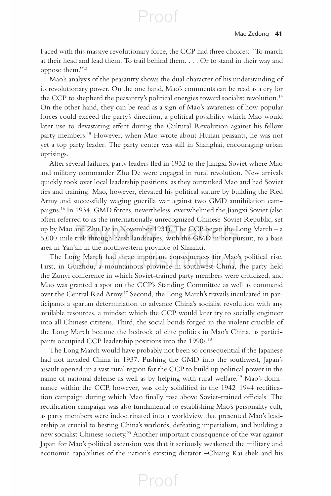Faced with this massive revolutionary force, the CCP had three choices: "To march at their head and lead them. To trail behind them. . . . Or to stand in their way and oppose them."<sup>13</sup>

Proof

 Mao's analysis of the peasantry shows the dual character of his understanding of its revolutionary power. On the one hand, Mao's comments can be read as a cry for the CCP to shepherd the peasantry's political energies toward socialist revolution. 14 On the other hand, they can be read as a sign of Mao's awareness of how popular forces could exceed the party's direction, a political possibility which Mao would later use to devastating effect during the Cultural Revolution against his fellow party members. 15 However, when Mao wrote about Hunan peasants, he was not yet a top party leader. The party center was still in Shanghai, encouraging urban uprisings.

After several failures, party leaders fled in 1932 to the Jiangxi Soviet where Mao and military commander Zhu De were engaged in rural revolution. New arrivals quickly took over local leadership positions, as they outranked Mao and had Soviet ties and training. Mao, however, elevated his political stature by building the Red Army and successfully waging guerilla war against two GMD annihilation campaigns. 16 In 1934, GMD forces, nevertheless, overwhelmed the Jiangxi Soviet (also often referred to as the internationally unrecognized Chinese-Soviet Republic, set up by Mao and Zhu De in November 1931). The CCP began the Long March – a 6,000-mile trek through harsh landscapes, with the GMD in hot pursuit, to a base area in Yan'an in the northwestern province of Shaanxi.

 The Long March had three important consequences for Mao's political rise. First, in Guizhou, a mountainous province in southwest China, the party held the Zunyi conference in which Soviet-trained party members were criticized, and Mao was granted a spot on the CCP's Standing Committee as well as command over the Central Red Army.<sup>17</sup> Second, the Long March's travails inculcated in participants a spartan determination to advance China's socialist revolution with any available resources, a mindset which the CCP would later try to socially engineer into all Chinese citizens. Third, the social bonds forged in the violent crucible of the Long March became the bedrock of elite politics in Mao's China, as participants occupied CCP leadership positions into the 1990s.<sup>18</sup>

 The Long March would have probably not been so consequential if the Japanese had not invaded China in 1937. Pushing the GMD into the southwest, Japan's assault opened up a vast rural region for the CCP to build up political power in the name of national defense as well as by helping with rural welfare. 19 Mao's dominance within the CCP, however, was only solidified in the 1942–1944 rectification campaign during which Mao finally rose above Soviet-trained officials. The rectification campaign was also fundamental to establishing Mao's personality cult, as party members were indoctrinated into a worldview that presented Mao's leadership as crucial to besting China's warlords, defeating imperialism, and building a new socialist Chinese society.<sup>20</sup> Another important consequence of the war against Japan for Mao's political ascension was that it seriously weakened the military and economic capabilities of the nation's existing dictator –Chiang Kai-shek and his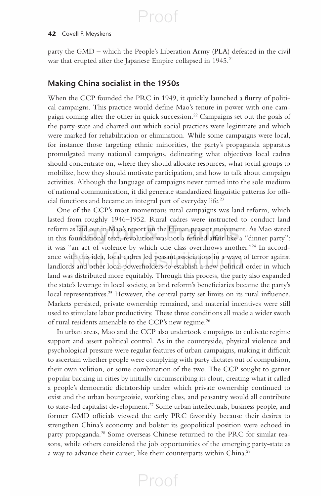#### **42** Covell F. Meyskens

party the GMD – which the People's Liberation Army (PLA) defeated in the civil war that erupted after the Japanese Empire collapsed in 1945.<sup>21</sup>

### **Making China socialist in the 1950s**

When the CCP founded the PRC in 1949, it quickly launched a flurry of political campaigns. This practice would define Mao's tenure in power with one campaign coming after the other in quick succession. 22 Campaigns set out the goals of the party-state and charted out which social practices were legitimate and which were marked for rehabilitation or elimination. While some campaigns were local, for instance those targeting ethnic minorities, the party's propaganda apparatus promulgated many national campaigns, delineating what objectives local cadres should concentrate on, where they should allocate resources, what social groups to mobilize, how they should motivate participation, and how to talk about campaign activities. Although the language of campaigns never turned into the sole medium of national communication, it did generate standardized linguistic patterns for official functions and became an integral part of everyday life.<sup>23</sup>

 One of the CCP's most momentous rural campaigns was land reform, which lasted from roughly 1946–1952. Rural cadres were instructed to conduct land reform as laid out in Mao's report on the Hunan peasant movement. As Mao stated in this foundational text, revolution was not a refined affair like a "dinner party": it was "an act of violence by which one class overthrows another."<sup>24</sup> In accordance with this idea, local cadres led peasant associations in a wave of terror against landlords and other local powerholders to establish a new political order in which land was distributed more equitably. Through this process, the party also expanded the state's leverage in local society, as land reform's beneficiaries became the party's local representatives.<sup>25</sup> However, the central party set limits on its rural influence. Markets persisted, private ownership remained, and material incentives were still used to stimulate labor productivity. These three conditions all made a wider swath of rural residents amenable to the CCP's new regime. 26

 In urban areas, Mao and the CCP also undertook campaigns to cultivate regime support and assert political control. As in the countryside, physical violence and psychological pressure were regular features of urban campaigns, making it difficult to ascertain whether people were complying with party dictates out of compulsion, their own volition, or some combination of the two. The CCP sought to garner popular backing in cities by initially circumscribing its clout, creating what it called a people's democratic dictatorship under which private ownership continued to exist and the urban bourgeoisie, working class, and peasantry would all contribute to state-led capitalist development.<sup>27</sup> Some urban intellectuals, business people, and former GMD officials viewed the early PRC favorably because their desires to strengthen China's economy and bolster its geopolitical position were echoed in party propaganda.<sup>28</sup> Some overseas Chinese returned to the PRC for similar reasons, while others considered the job opportunities of the emerging party-state as a way to advance their career, like their counterparts within China. 29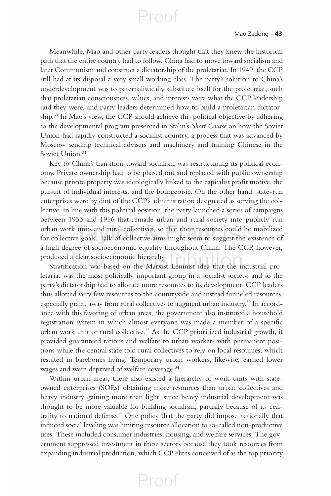Meanwhile, Mao and other party leaders thought that they knew the historical path that the entire country had to follow. China had to move toward socialism and later Communism and construct a dictatorship of the proletariat. In 1949, the CCP still had at its disposal a very small working class. The party's solution to China's underdevelopment was to paternalistically substitute itself for the proletariat, such that proletarian consciousness, values, and interests were what the CCP leadership said they were, and party leaders determined how to build a proletarian dictatorship. 30 In Mao's view, the CCP should achieve this political objective by adhering to the developmental program presented in Stalin's *Short Course* on how the Soviet Union had rapidly constructed a socialist country, a process that was advanced by Moscow sending technical advisers and machinery and training Chinese in the Soviet Union.<sup>31</sup>

 Key to China's transition toward socialism was restructuring its political economy. Private ownership had to be phased out and replaced with public ownership because private property was ideologically linked to the capitalist profit motive, the pursuit of individual interests, and the bourgeoisie. On the other hand, state-run enterprises were by dint of the CCP's administration designated as serving the collective. In line with this political position, the party launched a series of campaigns between 1953 and 1956 that remade urban and rural society into publicly run urban work units and rural collectives, so that their resources could be mobilized for collective goals. Talk of collective aims might seem to suggest the existence of a high degree of socioeconomic equality throughout China. The CCP, however, produced a clear socioeconomic hierarchy

Stratification was based on the Marxist-Leninist idea that the industrial proletariat was the most politically important group in a socialist society, and so the party's dictatorship had to allocate more resources to its development. CCP leaders thus allotted very few resources to the countryside and instead funneled resources, especially grain, away from rural collectives to augment urban industry.<sup>32</sup> In accordance with this favoring of urban areas, the government also instituted a household registration system in which almost everyone was made a member of a specific urban work unit or rural collective. 33 As the CCP prioritized industrial growth, it provided guaranteed rations and welfare to urban workers with permanent positions while the central state told rural collectives to rely on local resources, which resulted in barebones living. Temporary urban workers, likewise, earned lower wages and were deprived of welfare coverage. 34

 Within urban areas, there also existed a hierarchy of work units with stateowned enterprises (SOEs) obtaining more resources than urban collectives and heavy industry gaining more than light, since heavy industrial development was thought to be more valuable for building socialism, partially because of its centrality to national defense. 35 One policy that the party did impose nationally that induced social leveling was limiting resource allocation to so-called non-productive uses. These included consumer industries, housing, and welfare services. The government suppressed investment in these sectors because they took resources from expanding industrial production, which CCP elites conceived of as the top priority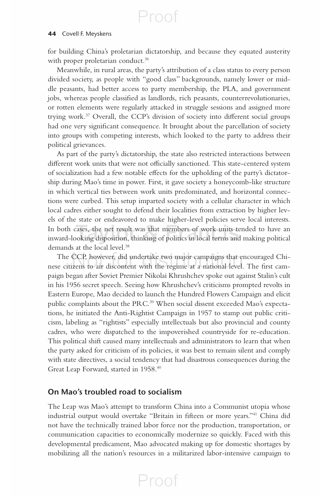#### **44** Covell F. Meyskens

for building China's proletarian dictatorship, and because they equated austerity with proper proletarian conduct.<sup>36</sup>

 Meanwhile, in rural areas, the party's attribution of a class status to every person divided society, as people with "good class" backgrounds, namely lower or middle peasants, had better access to party membership, the PLA, and government jobs, whereas people classified as landlords, rich peasants, counterrevolutionaries, or rotten elements were regularly attacked in struggle sessions and assigned more trying work.<sup>37</sup> Overall, the CCP's division of society into different social groups had one very significant consequence. It brought about the parcellation of society into groups with competing interests, which looked to the party to address their political grievances.

 As part of the party's dictatorship, the state also restricted interactions between different work units that were not officially sanctioned. This state-centered system of socialization had a few notable effects for the upholding of the party's dictatorship during Mao's time in power. First, it gave society a honeycomb-like structure in which vertical ties between work units predominated, and horizontal connections were curbed. This setup imparted society with a cellular character in which local cadres either sought to defend their localities from extraction by higher levels of the state or endeavored to make higher-level policies serve local interests. In both cases, the net result was that members of work units tended to have an inward-looking disposition, thinking of politics in local terms and making political demands at the local level.<sup>38</sup>

 The CCP, however, did undertake two major campaigns that encouraged Chinese citizens to air discontent with the regime at a national level. The first campaign began after Soviet Premier Nikolai Khrushchev spoke out against Stalin's cult in his 1956 secret speech. Seeing how Khrushchev's criticisms prompted revolts in Eastern Europe, Mao decided to launch the Hundred Flowers Campaign and elicit public complaints about the PRC.<sup>39</sup> When social dissent exceeded Mao's expectations, he initiated the Anti-Rightist Campaign in 1957 to stamp out public criticism, labeling as "rightists" especially intellectuals but also provincial and county cadres, who were dispatched to the impoverished countryside for re-education. This political shift caused many intellectuals and administrators to learn that when the party asked for criticism of its policies, it was best to remain silent and comply with state directives, a social tendency that had disastrous consequences during the Great Leap Forward, started in 1958. 40

### **On Mao's troubled road to socialism**

 The Leap was Mao's attempt to transform China into a Communist utopia whose industrial output would overtake "Britain in fifteen or more years."<sup>41</sup> China did not have the technically trained labor force nor the production, transportation, or communication capacities to economically modernize so quickly. Faced with this developmental predicament, Mao advocated making up for domestic shortages by mobilizing all the nation's resources in a militarized labor-intensive campaign to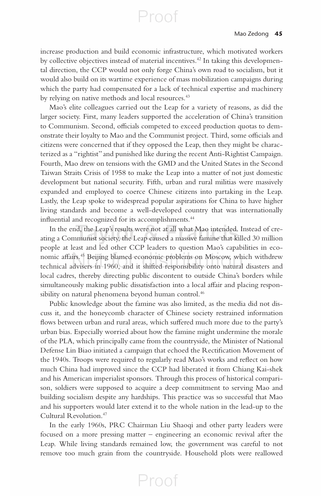increase production and build economic infrastructure, which motivated workers by collective objectives instead of material incentives. 42 In taking this developmental direction, the CCP would not only forge China's own road to socialism, but it would also build on its wartime experience of mass mobilization campaigns during which the party had compensated for a lack of technical expertise and machinery by relying on native methods and local resources. 43

 Mao's elite colleagues carried out the Leap for a variety of reasons, as did the larger society. First, many leaders supported the acceleration of China's transition to Communism. Second, officials competed to exceed production quotas to demonstrate their loyalty to Mao and the Communist project. Third, some officials and citizens were concerned that if they opposed the Leap, then they might be characterized as a "rightist" and punished like during the recent Anti-Rightist Campaign. Fourth, Mao drew on tensions with the GMD and the United States in the Second Taiwan Straits Crisis of 1958 to make the Leap into a matter of not just domestic development but national security. Fifth, urban and rural militias were massively expanded and employed to coerce Chinese citizens into partaking in the Leap. Lastly, the Leap spoke to widespread popular aspirations for China to have higher living standards and become a well-developed country that was internationally influential and recognized for its accomplishments.<sup>44</sup>

 In the end, the Leap's results were not at all what Mao intended. Instead of creating a Communist society, the Leap caused a massive famine that killed 30 million people at least and led other CCP leaders to question Mao's capabilities in economic affairs.<sup>45</sup> Beijing blamed economic problems on Moscow, which withdrew technical advisers in 1960, and it shifted responsibility onto natural disasters and local cadres, thereby directing public discontent to outside China's borders while simultaneously making public dissatisfaction into a local affair and placing responsibility on natural phenomena beyond human control. 46

 Public knowledge about the famine was also limited, as the media did not discuss it, and the honeycomb character of Chinese society restrained information flows between urban and rural areas, which suffered much more due to the party's urban bias. Especially worried about how the famine might undermine the morale of the PLA, which principally came from the countryside, the Minister of National Defense Lin Biao initiated a campaign that echoed the Rectification Movement of the 1940s. Troops were required to regularly read Mao's works and reflect on how much China had improved since the CCP had liberated it from Chiang Kai-shek and his American imperialist sponsors. Through this process of historical comparison, soldiers were supposed to acquire a deep commitment to serving Mao and building socialism despite any hardships. This practice was so successful that Mao and his supporters would later extend it to the whole nation in the lead-up to the Cultural Revolution. 47

 In the early 1960s, PRC Chairman Liu Shaoqi and other party leaders were focused on a more pressing matter – engineering an economic revival after the Leap. While living standards remained low, the government was careful to not remove too much grain from the countryside. Household plots were reallowed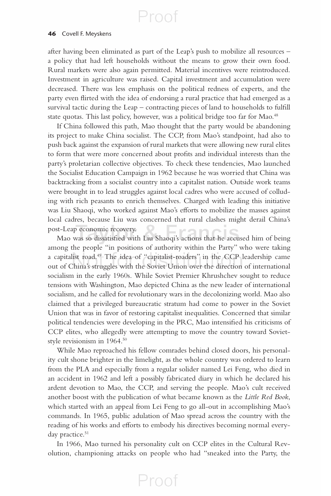#### **46** Covell F. Meyskens

after having been eliminated as part of the Leap's push to mobilize all resources – a policy that had left households without the means to grow their own food. Rural markets were also again permitted. Material incentives were reintroduced. Investment in agriculture was raised. Capital investment and accumulation were decreased. There was less emphasis on the political redness of experts, and the party even flirted with the idea of endorsing a rural practice that had emerged as a survival tactic during the Leap – contracting pieces of land to households to fulfill state quotas. This last policy, however, was a political bridge too far for Mao.<sup>48</sup>

 If China followed this path, Mao thought that the party would be abandoning its project to make China socialist. The CCP, from Mao's standpoint, had also to push back against the expansion of rural markets that were allowing new rural elites to form that were more concerned about profits and individual interests than the party's proletarian collective objectives. To check these tendencies, Mao launched the Socialist Education Campaign in 1962 because he was worried that China was backtracking from a socialist country into a capitalist nation. Outside work teams were brought in to lead struggles against local cadres who were accused of colluding with rich peasants to enrich themselves. Charged with leading this initiative was Liu Shaoqi, who worked against Mao's efforts to mobilize the masses against local cadres, because Liu was concerned that rural clashes might derail China's post-Leap economic recovery.

Mao was so dissatisfied with Liu Shaoqi's actions that he accused him of being among the people "in positions of authority within the Party" who were taking a capitalist road. $49$ -The idea of "capitalist-roaders" in the CCP leadership came out of China's struggles with the Soviet Union over the direction of international socialism in the early 1960s. While Soviet Premier Khrushchev sought to reduce tensions with Washington, Mao depicted China as the new leader of international socialism, and he called for revolutionary wars in the decolonizing world. Mao also claimed that a privileged bureaucratic stratum had come to power in the Soviet Union that was in favor of restoring capitalist inequalities. Concerned that similar political tendencies were developing in the PRC, Mao intensified his criticisms of CCP elites, who allegedly were attempting to move the country toward Sovietstyle revisionism in 1964. 50

 While Mao reproached his fellow comrades behind closed doors, his personality cult shone brighter in the limelight, as the whole country was ordered to learn from the PLA and especially from a regular solider named Lei Feng, who died in an accident in 1962 and left a possibly fabricated diary in which he declared his ardent devotion to Mao, the CCP, and serving the people. Mao's cult received another boost with the publication of what became known as the *Little Red Book* , which started with an appeal from Lei Feng to go all-out in accomplishing Mao's commands. In 1965, public adulation of Mao spread across the country with the reading of his works and efforts to embody his directives becoming normal everyday practice.<sup>51</sup>

 In 1966, Mao turned his personality cult on CCP elites in the Cultural Revolution, championing attacks on people who had "sneaked into the Party, the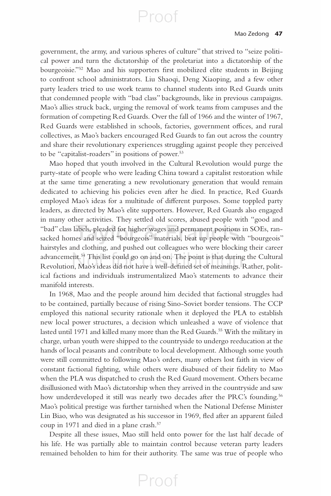government, the army, and various spheres of culture" that strived to "seize political power and turn the dictatorship of the proletariat into a dictatorship of the bourgeoisie."<sup>52</sup> Mao and his supporters first mobilized elite students in Beijing to confront school administrators. Liu Shaoqi, Deng Xiaoping, and a few other party leaders tried to use work teams to channel students into Red Guards units that condemned people with "bad class" backgrounds, like in previous campaigns. Mao's allies struck back, urging the removal of work teams from campuses and the formation of competing Red Guards. Over the fall of 1966 and the winter of 1967, Red Guards were established in schools, factories, government offices, and rural collectives, as Mao's backers encouraged Red Guards to fan out across the country and share their revolutionary experiences struggling against people they perceived to be "capitalist-roaders" in positions of power. 53

Proof

 Mao hoped that youth involved in the Cultural Revolution would purge the party-state of people who were leading China toward a capitalist restoration while at the same time generating a new revolutionary generation that would remain dedicated to achieving his policies even after he died. In practice, Red Guards employed Mao's ideas for a multitude of different purposes. Some toppled party leaders, as directed by Mao's elite supporters. However, Red Guards also engaged in many other activities. They settled old scores, abused people with "good and "bad" class labels, pleaded for higher wages and permanent positions in SOEs, ransacked homes and seized "bourgeois" materials, beat up people with "bourgeois" hairstyles and clothing, and pushed out colleagues who were blocking their career advancement. 54 This list could go on and on. The point is that during the Cultural Revolution, Mao's ideas did not have a well-defined set of meanings. Rather, political factions and individuals instrumentalized Mao's statements to advance their manifold interests.

 In 1968, Mao and the people around him decided that factional struggles had to be contained, partially because of rising Sino-Soviet border tensions. The CCP employed this national security rationale when it deployed the PLA to establish new local power structures, a decision which unleashed a wave of violence that lasted until 1971 and killed many more than the Red Guards. 55 With the military in charge, urban youth were shipped to the countryside to undergo reeducation at the hands of local peasants and contribute to local development. Although some youth were still committed to following Mao's orders, many others lost faith in view of constant factional fighting, while others were disabused of their fidelity to Mao when the PLA was dispatched to crush the Red Guard movement. Others became disillusioned with Mao's dictatorship when they arrived in the countryside and saw how underdeveloped it still was nearly two decades after the PRC's founding.<sup>56</sup> Mao's political prestige was further tarnished when the National Defense Minister Lin Biao, who was designated as his successor in 1969, fled after an apparent failed coup in 1971 and died in a plane crash.<sup>57</sup>

 Despite all these issues, Mao still held onto power for the last half decade of his life. He was partially able to maintain control because veteran party leaders remained beholden to him for their authority. The same was true of people who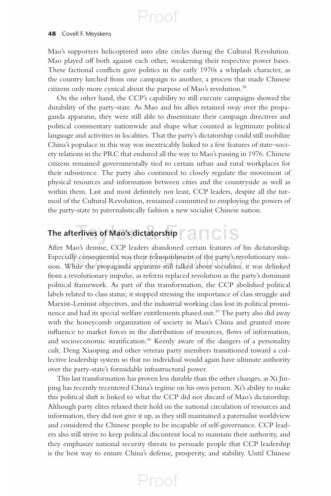#### **48** Covell F. Meyskens

Mao's supporters helicoptered into elite circles during the Cultural Revolution. Mao played off both against each other, weakening their respective power bases. These factional conflicts gave politics in the early 1970s a whiplash character, as the country lurched from one campaign to another, a process that made Chinese citizens only more cynical about the purpose of Mao's revolution. 58

 On the other hand, the CCP's capability to still execute campaigns showed the durability of the party-state. As Mao and his allies retained sway over the propaganda apparatus, they were still able to disseminate their campaign directives and political commentary nationwide and shape what counted as legitimate political language and activities in localities. That the party's dictatorship could still mobilize China's populace in this way was inextricably linked to a few features of state–society relations in the PRC that endured all the way to Mao's passing in 1976. Chinese citizens remained governmentally tied to certain urban and rural workplaces for their subsistence. The party also continued to closely regulate the movement of physical resources and information between cities and the countryside as well as within them. Last and most definitely not least, CCP leaders, despite all the turmoil of the Cultural Revolution, remained committed to employing the powers of the party-state to paternalistically fashion a new socialist Chinese nation.

### **The afterlives of Mao's dictatorship**

 After Mao's demise, CCP leaders abandoned certain features of his dictatorship. Especially consequential was their relinquishment of the party's revolutionary mission. While the propaganda apparatus still talked about socialism, it was delinked from a revolutionary impulse, as reform replaced revolution as the party's dominant political framework. As part of this transformation, the CCP abolished political labels related to class status; it stopped stressing the importance of class struggle and Marxist-Leninist objectives, and the industrial working class lost its political prominence and had its special welfare entitlements phased out.<sup>59</sup> The party also did away with the honeycomb organization of society in Mao's China and granted more influence to market forces in the distribution of resources, flows of information, and socioeconomic stratification.<sup>60</sup> Keenly aware of the dangers of a personality cult, Deng Xiaoping and other veteran party members transitioned toward a collective leadership system so that no individual would again have ultimate authority over the party-state's formidable infrastructural power.

 This last transformation has proven less durable than the other changes, as Xi Jinping has recently recentered China's regime on his own person. Xi's ability to make this political shift is linked to what the CCP did not discard of Mao's dictatorship. Although party elites relaxed their hold on the national circulation of resources and information, they did not give it up, as they still maintained a paternalist worldview and considered the Chinese people to be incapable of self-governance. CCP leaders also still strive to keep political discontent local to maintain their authority, and they emphasize national security threats to persuade people that CCP leadership is the best way to ensure China's defense, prosperity, and stability. Until Chinese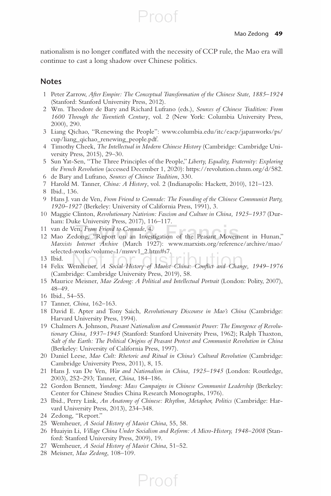nationalism is no longer conflated with the necessity of CCP rule, the Mao era will continue to cast a long shadow over Chinese politics.

Proof

#### **Notes**

- 1 Peter Zarrow, *After Empire: The Conceptual Transformation of the Chinese State, 1885–1924* (Stanford: Stanford University Press, 2012).
- 2 Wm. Theodore de Bary and Richard Lufrano (eds.), *Sources of Chinese Tradition: From 1600 Through the Twentieth Century* , vol. 2 (New York: Columbia University Press, 2000), 290.
- 3 Liang Qichao, "Renewing the People": www.columbia.edu/itc/eacp/japanworks/ps/ cup/liang\_qichao\_renewing\_people.pdf .
- 4 Timothy Cheek, *The Intellectual in Modern Chinese History* (Cambridge: Cambridge University Press, 2015), 29–30.
- 5 Sun Yat-Sen, "The Three Principles of the People," *Liberty, Equality, Fraternity: Exploring the French Revolution* (accessed December 1, 2020): https://revolution.chnm.org/d/582 .
- 6 de Bary and Lufrano, *Sources of Chinese Tradition* , 330.
- 7 Harold M. Tanner, *China: A History* , vol. 2 (Indianapolis: Hackett, 2010), 121–123.
- 8 Ibid., 136.
- 9 Hans J. van de Ven, *From Friend to Comrade: The Founding of the Chinese Communist Party, 1920–1927* (Berkeley: University of California Press, 1991), 3.
- 10 Maggie Clinton, *Revolutionary Nativism: Fascism and Culture in China, 1925–1937* (Durham: Duke University Press, 2017), 116–117.
- 11 van de Ven, *From Friend to Comrade* , 4.
- 12 Mao Zedong, "Report on an Investigation of the Peasant Movement in Hunan," *Marxists Internet Archive* (March 1927): www.marxists.org/reference/archive/mao/ selected-works/volume-1/mswv1\_2.htm#s7.
- 13 Ibid.

14 Felix Wemheuer, *A Social History of Maoist China: Conflict and Change*, 1949-1976 (Cambridge: Cambridge University Press, 2019), 58.

- 15 Maurice Meisner, *Mao Zedong: A Political and Intellectual Portrait* (London: Polity, 2007), 48–49.
- 16 Ibid., 54–55.
- 17 Tanner, *China* , 162–163.
- 18 David E. Apter and Tony Saich, *Revolutionary Discourse in Mao's China* (Cambridge: Harvard University Press, 1994).
- 19 Chalmers A. Johnson, *Peasant Nationalism and Communist Power: The Emergence of Revolutionary China, 1937–1945* (Stanford: Stanford University Press, 1962); Ralph Thaxton, *Salt of the Earth: The Political Origins of Peasant Protest and Communist Revolution in China* (Berkeley: University of California Press, 1997).
- 20 Daniel Leese, *Mao Cult: Rhetoric and Ritual in China's Cultural Revolution* (Cambridge: Cambridge University Press, 2011), 8, 15.
- 21 Hans J. van De Ven, *War and Nationalism in China, 1925–1945* (London: Routledge, 2003), 252–293; Tanner, *China* , 184–186.
- 22 Gordon Bennett, *Yundong: Mass Campaigns in Chinese Communist Leadership* (Berkeley: Center for Chinese Studies China Research Monographs, 1976).
- 23 Ibid., Perry Link, *An Anatomy of Chinese: Rhythm, Metaphor, Politics* (Cambridge: Harvard University Press, 2013), 234–348.
- 24 Zedong, "Report."
- 25 Wemheuer, *A Social History of Maoist China* , 55, 58.
- 26 Huaiyin Li, *Village China Under Socialism and Reform: A Micro-History, 1948–2008* (Stanford: Stanford University Press, 2009), 19.

- 27 Wemheuer, *A Social History of Maoist China*, 51-52.
- 28 Meisner, *Mao Zedong* , 108–109.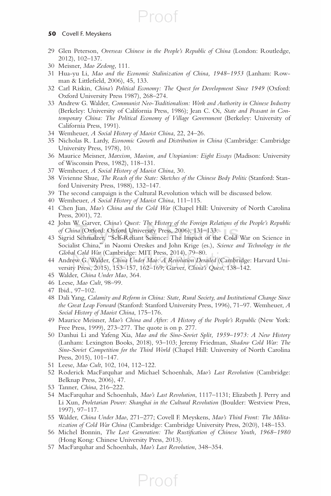#### **50** Covell F. Meyskens

29 Glen Peterson, *Overseas Chinese in the People's Republic of China* (London: Routledge, 2012), 102–137.

Proof

- 30 Meisner, *Mao Zedong* , 111.
- 31 Hua-yu Li, *Mao and the Economic Stalinization of China, 1948–1953* (Lanham: Rowman & Littlefield, 2006), 45, 133.
- 32 Carl Riskin, *China's Political Economy: The Quest for Development Since 1949* (Oxford: Oxford University Press 1987), 268–274.
- 33 Andrew G. Walder, *Communist Neo-Traditionalism: Work and Authority in Chinese Industry* (Berkeley: University of California Press, 1986); Jean C. Oi, *State and Peasant in Contemporary China: The Political Economy of Village Government* (Berkeley: University of California Press, 1991).
- 34 Wemheuer, *A Social History of Maoist China* , 22, 24–26.
- 35 Nicholas R. Lardy, *Economic Growth and Distribution in China* (Cambridge: Cambridge University Press, 1978), 10.
- 36 Maurice Meisner, *Marxism, Maoism, and Utopianism: Eight Essays* (Madison: University of Wisconsin Press, 1982), 118–131.
- 37 Wemheuer, *A Social History of Maoist China*, 30.
- 38 Vivienne Shue, *The Reach of the State: Sketches of the Chinese Body Politic* (Stanford: Stanford University Press, 1988), 132–147.
- 39 The second campaign is the Cultural Revolution which will be discussed below.
- 40 Wemheuer, *A Social History of Maoist China* , 111–115.
- 41 Chen Jian, *Mao's China and the Cold War* (Chapel Hill: University of North Carolina Press, 2001), 72.
- 42 John W. Garver, *China's Quest: The History of the Foreign Relations of the People's Republic of China* (Oxford: Oxford University Press, 2006), 131–133.
- 43 Sigrid Schmalzer, "Self-Reliant Science: The Impact of the Cold War on Science in Socialist China," in Naomi Oreskes and John Krige (es.), *Science and Technology in the Global Cold War* (Cambridge: MIT Press, 2014), 79–80.
- 44 Andrew G. Walder, *China Under Mao: A Revolution Derailed* (Cambridge: Harvard University Press, 2015), 153–157, 162–169; Garver, *China's Quest* , 138–142.
- 45 Walder, *China Under Mao* , 364.
- 46 Leese, *Mao Cult* , 98–99.
- 47 Ibid., 97–102.
- 48 Dali Yang, *Calamity and Reform in China: State, Rural Society, and Institutional Change Since the Great Leap Forward* (Stanford: Stanford University Press, 1996), 71–97. Wemheuer, *A*  Social History of Maoist China, 175-176.
- 49 Maurice Meisner, *Mao's China and After: A History of the People's Republic* (New York: Free Press, 1999), 273–277. The quote is on p. 277.
- 50 Danhui Li and Yafeng Xia, *Mao and the Sino-Soviet Split, 1959–1973: A New History* (Lanham: Lexington Books, 2018), 93–103; Jeremy Friedman, *Shadow Cold War: The Sino-Soviet Competition for the Third World* (Chapel Hill: University of North Carolina Press, 2015), 101–147.
- 51 Leese, *Mao Cult* , 102, 104, 112–122.
- 52 Roderick MacFarquhar and Michael Schoenhals, *Mao's Last Revolution* (Cambridge: Belknap Press, 2006), 47.
- 53 Tanner, *China* , 216–222.
- 54 MacFarquhar and Schoenhals, *Mao's Last Revolution* , 1117–1131; Elizabeth J. Perry and Li Xun, *Proletarian Power: Shanghai in the Cultural Revolution* (Boulder: Westview Press, 1997), 97–117.
- 55 Walder, *China Under Mao* , 271–277; Covell F. Meyskens, *Mao's Third Front: The Militarization of Cold War China* (Cambridge: Cambridge University Press, 2020), 148–153.
- 56 Michel Bonnin, *The Lost Generation: The Rustification of Chinese Youth, 1968*-1980 (Hong Kong: Chinese University Press, 2013).

Proof

57 MacFarquhar and Schoenhals, *Mao's Last Revolution* , 348–354.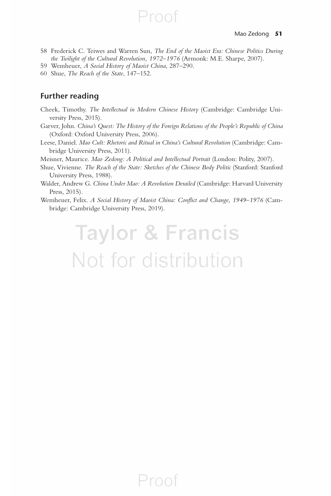58 Frederick C. Teiwes and Warren Sun, *The End of the Maoist Era: Chinese Politics During the Twilight of the Cultural Revolution, 1972–1976* (Armonk: M.E. Sharpe, 2007).

Proof

- 59 Wemheuer, *A Social History of Maoist China* , 287–290.
- 60 Shue, *The Reach of the State* , 147–152.

#### **Further reading**

- Cheek, Timothy. *The Intellectual in Modern Chinese History* (Cambridge: Cambridge University Press, 2015).
- Garver, John. *China's Quest: The History of the Foreign Relations of the People's Republic of China* (Oxford: Oxford University Press, 2006).
- Leese, Daniel. *Mao Cult: Rhetoric and Ritual in China's Cultural Revolution* (Cambridge: Cambridge University Press, 2011).
- Meisner, Maurice. *Mao Zedong: A Political and Intellectual Portrait* (London: Polity, 2007).
- Shue, Vivienne. *The Reach of the State: Sketches of the Chinese Body Politic* (Stanford: Stanford University Press, 1988).
- Walder, Andrew G. *China Under Mao: A Revolution Derailed* (Cambridge: Harvard University Press, 2015).
- Wemheuer, Felix. *A Social History of Maoist China: Conflict and Change, 1949*-1976 (Cambridge: Cambridge University Press, 2019).

**Taylor & Francis** Not for distribution